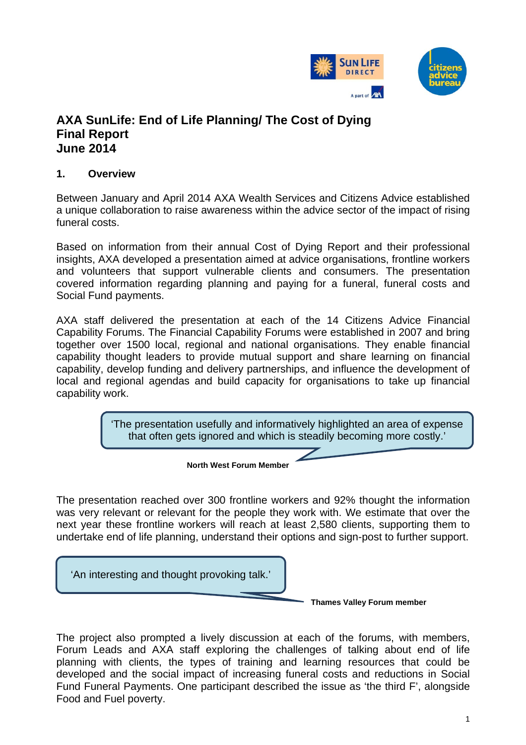

# **AXA SunLife: End of Life Planning/ The Cost of Dying Final Report June 2014**

## **1. Overview**

Between January and April 2014 AXA Wealth Services and Citizens Advice established a unique collaboration to raise awareness within the advice sector of the impact of rising funeral costs.

Based on information from their annual Cost of Dying Report and their professional insights, AXA developed a presentation aimed at advice organisations, frontline workers and volunteers that support vulnerable clients and consumers. The presentation covered information regarding planning and paying for a funeral, funeral costs and Social Fund payments.

AXA staff delivered the presentation at each of the 14 Citizens Advice Financial Capability Forums. The Financial Capability Forums were established in 2007 and bring together over 1500 local, regional and national organisations. They enable financial capability thought leaders to provide mutual support and share learning on financial capability, develop funding and delivery partnerships, and influence the development of local and regional agendas and build capacity for organisations to take up financial capability work.

> 'The presentation usefully and informatively highlighted an area of expense that often gets ignored and which is steadily becoming more costly.'

> > **North West Forum Member**

The presentation reached over 300 frontline workers and 92% thought the information was very relevant or relevant for the people they work with. We estimate that over the next year these frontline workers will reach at least 2,580 clients, supporting them to undertake end of life planning, understand their options and sign-post to further support.

'An interesting and thought provoking talk.'

I 

**Thames Valley Forum member**

The project also prompted a lively discussion at each of the forums, with members, Forum Leads and AXA staff exploring the challenges of talking about end of life planning with clients, the types of training and learning resources that could be developed and the social impact of increasing funeral costs and reductions in Social Fund Funeral Payments. One participant described the issue as 'the third F', alongside Food and Fuel poverty.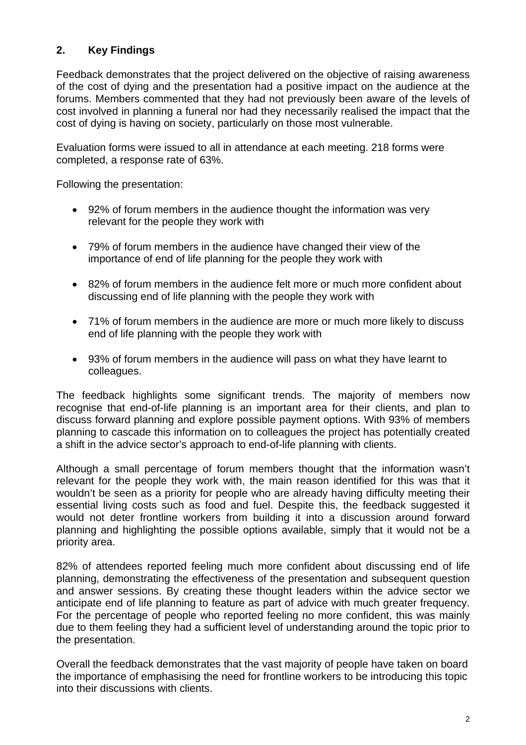## **2. Key Findings**

Feedback demonstrates that the project delivered on the objective of raising awareness of the cost of dying and the presentation had a positive impact on the audience at the forums. Members commented that they had not previously been aware of the levels of cost involved in planning a funeral nor had they necessarily realised the impact that the cost of dying is having on society, particularly on those most vulnerable.

Evaluation forms were issued to all in attendance at each meeting. 218 forms were completed, a response rate of 63%.

Following the presentation:

- 92% of forum members in the audience thought the information was very relevant for the people they work with
- 79% of forum members in the audience have changed their view of the importance of end of life planning for the people they work with
- 82% of forum members in the audience felt more or much more confident about discussing end of life planning with the people they work with
- 71% of forum members in the audience are more or much more likely to discuss end of life planning with the people they work with
- 93% of forum members in the audience will pass on what they have learnt to colleagues.

The feedback highlights some significant trends. The majority of members now recognise that end-of-life planning is an important area for their clients, and plan to discuss forward planning and explore possible payment options. With 93% of members planning to cascade this information on to colleagues the project has potentially created a shift in the advice sector's approach to end-of-life planning with clients.

Although a small percentage of forum members thought that the information wasn't relevant for the people they work with, the main reason identified for this was that it wouldn't be seen as a priority for people who are already having difficulty meeting their essential living costs such as food and fuel. Despite this, the feedback suggested it would not deter frontline workers from building it into a discussion around forward planning and highlighting the possible options available, simply that it would not be a priority area.

82% of attendees reported feeling much more confident about discussing end of life planning, demonstrating the effectiveness of the presentation and subsequent question and answer sessions. By creating these thought leaders within the advice sector we anticipate end of life planning to feature as part of advice with much greater frequency. For the percentage of people who reported feeling no more confident, this was mainly due to them feeling they had a sufficient level of understanding around the topic prior to the presentation.

Overall the feedback demonstrates that the vast majority of people have taken on board the importance of emphasising the need for frontline workers to be introducing this topic into their discussions with clients.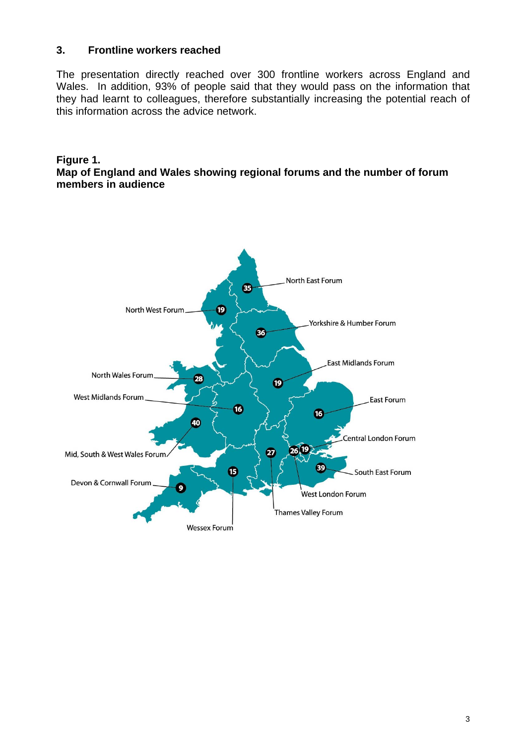## **3. Frontline workers reached**

The presentation directly reached over 300 frontline workers across England and Wales. In addition, 93% of people said that they would pass on the information that they had learnt to colleagues, therefore substantially increasing the potential reach of this information across the advice network.

#### **Figure 1. Map of England and Wales showing regional forums and the number of forum members in audience**

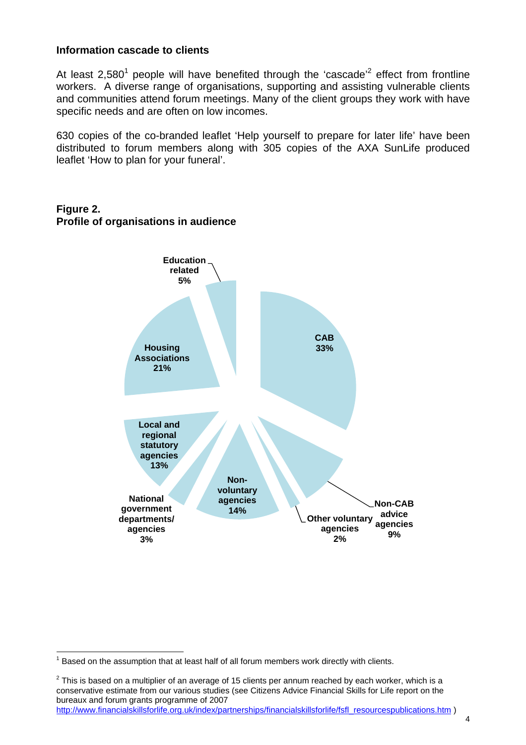#### **Information cascade to clients**

At least 2,580<sup>1</sup> people will have benefited through the 'cascade'<sup>2</sup> effect from frontline workers. A diverse range of organisations, supporting and assisting vulnerable clients and communities attend forum meetings. Many of the client groups they work with have specific needs and are often on low incomes.

630 copies of the co-branded leaflet 'Help yourself to prepare for later life' have been distributed to forum members along with 305 copies of the AXA SunLife produced leaflet 'How to plan for your funeral'.



### **Figure 2. Profile of organisations in audience**

 $^{2}$  This is based on a multiplier of an average of 15 clients per annum reached by each worker, which is a conservative estimate from our various studies (see Citizens Advice Financial Skills for Life report on the bureaux and forum grants programme of 2007 http://www.financialskillsforlife.org.uk/index/partnerships/financialskillsforlife/fsfl\_resourcespublications.htm )

l  $1$  Based on the assumption that at least half of all forum members work directly with clients.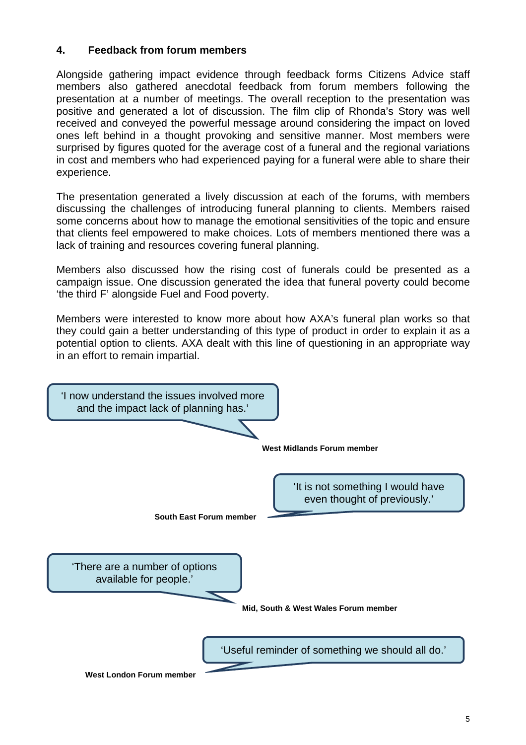## **4. Feedback from forum members**

Alongside gathering impact evidence through feedback forms Citizens Advice staff members also gathered anecdotal feedback from forum members following the presentation at a number of meetings. The overall reception to the presentation was positive and generated a lot of discussion. The film clip of Rhonda's Story was well received and conveyed the powerful message around considering the impact on loved ones left behind in a thought provoking and sensitive manner. Most members were surprised by figures quoted for the average cost of a funeral and the regional variations in cost and members who had experienced paying for a funeral were able to share their experience.

The presentation generated a lively discussion at each of the forums, with members discussing the challenges of introducing funeral planning to clients. Members raised some concerns about how to manage the emotional sensitivities of the topic and ensure that clients feel empowered to make choices. Lots of members mentioned there was a lack of training and resources covering funeral planning.

Members also discussed how the rising cost of funerals could be presented as a campaign issue. One discussion generated the idea that funeral poverty could become 'the third F' alongside Fuel and Food poverty.

Members were interested to know more about how AXA's funeral plan works so that they could gain a better understanding of this type of product in order to explain it as a potential option to clients. AXA dealt with this line of questioning in an appropriate way in an effort to remain impartial.

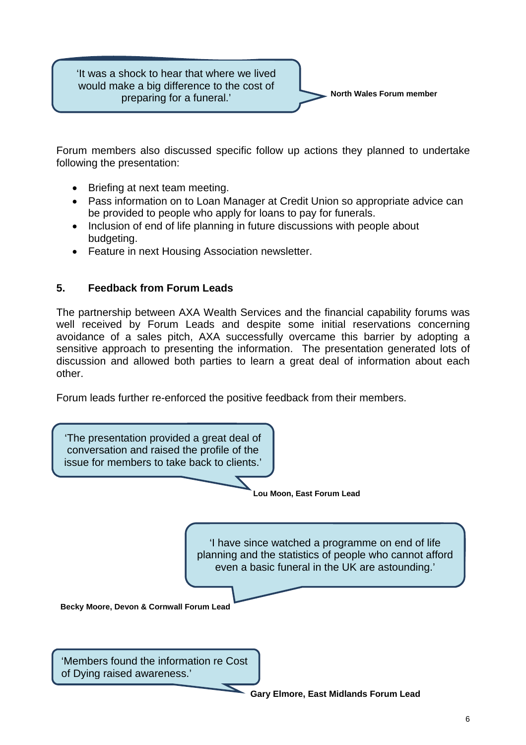'It was a shock to hear that where we lived would make a big difference to the cost of preparing for a funeral.'



Forum members also discussed specific follow up actions they planned to undertake following the presentation:

- Briefing at next team meeting.
- Pass information on to Loan Manager at Credit Union so appropriate advice can be provided to people who apply for loans to pay for funerals.
- Inclusion of end of life planning in future discussions with people about budgeting.
- Feature in next Housing Association newsletter.

## **5. Feedback from Forum Leads**

The partnership between AXA Wealth Services and the financial capability forums was well received by Forum Leads and despite some initial reservations concerning avoidance of a sales pitch, AXA successfully overcame this barrier by adopting a sensitive approach to presenting the information. The presentation generated lots of discussion and allowed both parties to learn a great deal of information about each other.

Forum leads further re-enforced the positive feedback from their members.